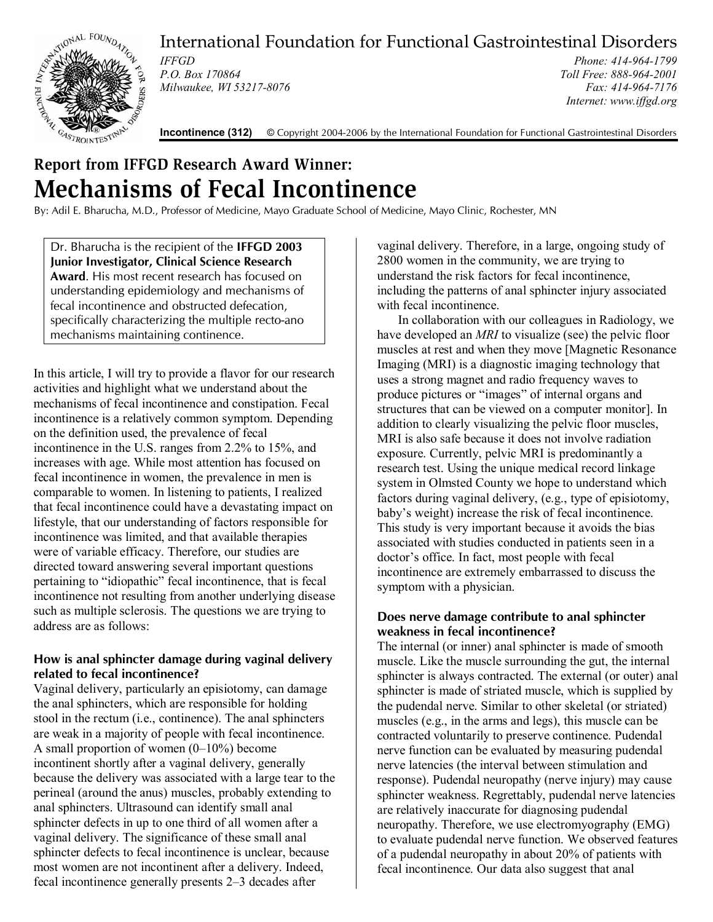

International Foundation for Functional Gastrointestinal Disorders

*IFFGD P.O. Box 170864 Milwaukee, WI 53217-8076* 

*Phone: 414-964-1799 Toll Free: 888-964-2001 Fax: 414-964-7176 Internet: www.iffgd.org*

**Incontinence (312)** © Copyright 2004-2006 by the International Foundation for Functional Gastrointestinal Disorders

# **Report from IFFGD Research Award Winner: Mechanisms of Fecal Incontinence**

By: Adil E. Bharucha, M.D., Professor of Medicine, Mayo Graduate School of Medicine, Mayo Clinic, Rochester, MN

Dr. Bharucha is the recipient of the **IFFGD 2003 Junior Investigator, Clinical Science Research Award**. His most recent research has focused on understanding epidemiology and mechanisms of fecal incontinence and obstructed defecation, specifically characterizing the multiple recto-ano mechanisms maintaining continence.

In this article, I will try to provide a flavor for our research activities and highlight what we understand about the mechanisms of fecal incontinence and constipation. Fecal incontinence is a relatively common symptom. Depending on the definition used, the prevalence of fecal incontinence in the U.S. ranges from 2.2% to 15%, and increases with age. While most attention has focused on fecal incontinence in women, the prevalence in men is comparable to women. In listening to patients, I realized that fecal incontinence could have a devastating impact on lifestyle, that our understanding of factors responsible for incontinence was limited, and that available therapies were of variable efficacy. Therefore, our studies are directed toward answering several important questions pertaining to "idiopathic" fecal incontinence, that is fecal incontinence not resulting from another underlying disease such as multiple sclerosis. The questions we are trying to address are as follows:

# **How is anal sphincter damage during vaginal delivery related to fecal incontinence?**

Vaginal delivery, particularly an episiotomy, can damage the anal sphincters, which are responsible for holding stool in the rectum (i.e., continence). The anal sphincters are weak in a majority of people with fecal incontinence. A small proportion of women (0–10%) become incontinent shortly after a vaginal delivery, generally because the delivery was associated with a large tear to the perineal (around the anus) muscles, probably extending to anal sphincters. Ultrasound can identify small anal sphincter defects in up to one third of all women after a vaginal delivery. The significance of these small anal sphincter defects to fecal incontinence is unclear, because most women are not incontinent after a delivery. Indeed, fecal incontinence generally presents 2–3 decades after

vaginal delivery. Therefore, in a large, ongoing study of 2800 women in the community, we are trying to understand the risk factors for fecal incontinence, including the patterns of anal sphincter injury associated with fecal incontinence.

 In collaboration with our colleagues in Radiology, we have developed an *MRI* to visualize (see) the pelvic floor muscles at rest and when they move [Magnetic Resonance Imaging (MRI) is a diagnostic imaging technology that uses a strong magnet and radio frequency waves to produce pictures or "images" of internal organs and structures that can be viewed on a computer monitor]. In addition to clearly visualizing the pelvic floor muscles, MRI is also safe because it does not involve radiation exposure. Currently, pelvic MRI is predominantly a research test. Using the unique medical record linkage system in Olmsted County we hope to understand which factors during vaginal delivery, (e.g., type of episiotomy, baby's weight) increase the risk of fecal incontinence. This study is very important because it avoids the bias associated with studies conducted in patients seen in a doctor's office. In fact, most people with fecal incontinence are extremely embarrassed to discuss the symptom with a physician.

# **Does nerve damage contribute to anal sphincter weakness in fecal incontinence?**

The internal (or inner) anal sphincter is made of smooth muscle. Like the muscle surrounding the gut, the internal sphincter is always contracted. The external (or outer) anal sphincter is made of striated muscle, which is supplied by the pudendal nerve. Similar to other skeletal (or striated) muscles (e.g., in the arms and legs), this muscle can be contracted voluntarily to preserve continence. Pudendal nerve function can be evaluated by measuring pudendal nerve latencies (the interval between stimulation and response). Pudendal neuropathy (nerve injury) may cause sphincter weakness. Regrettably, pudendal nerve latencies are relatively inaccurate for diagnosing pudendal neuropathy. Therefore, we use electromyography (EMG) to evaluate pudendal nerve function. We observed features of a pudendal neuropathy in about 20% of patients with fecal incontinence. Our data also suggest that anal